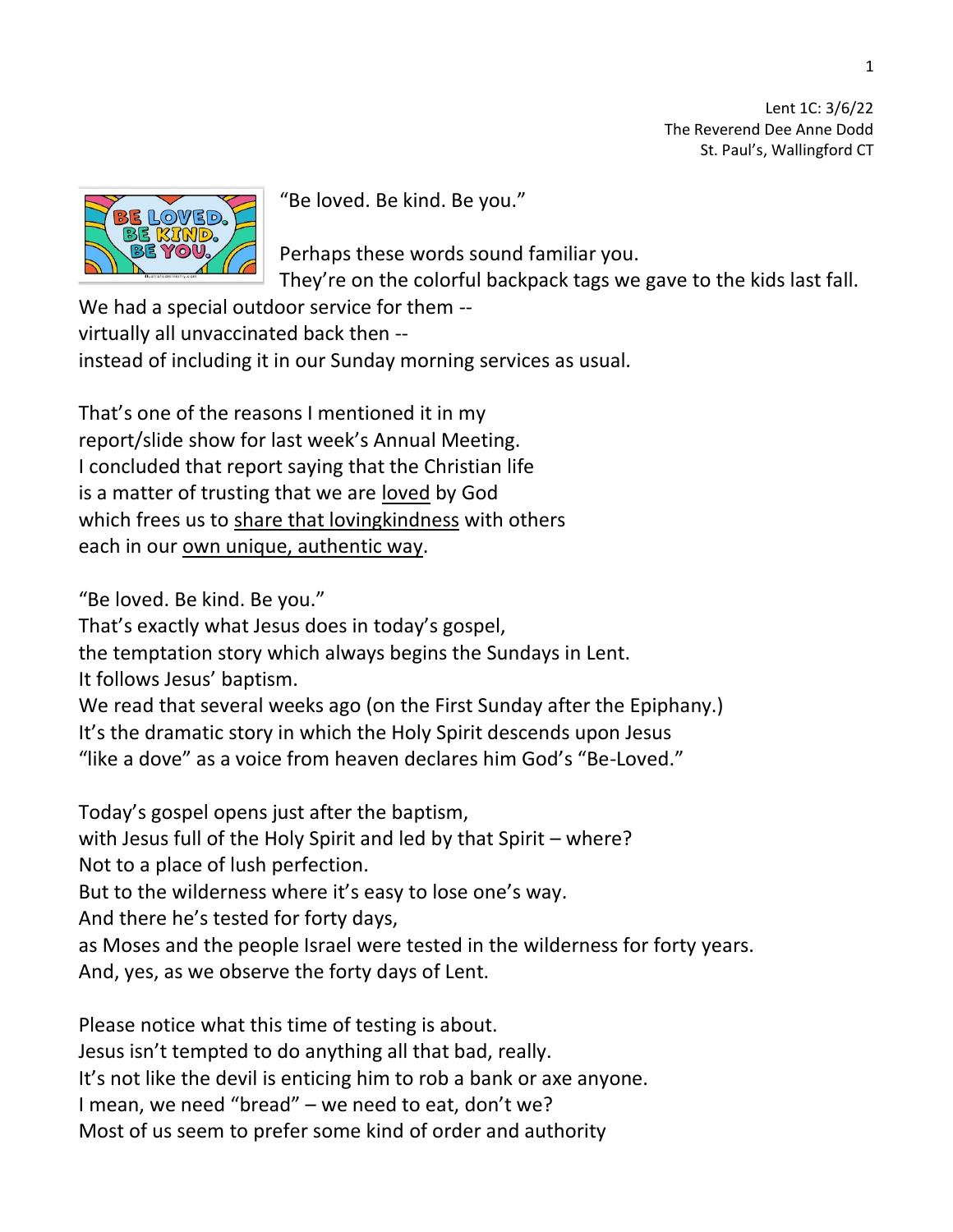Lent 1C: 3/6/22 The Reverend Dee Anne Dodd St. Paul's, Wallingford CT



"Be loved. Be kind. Be you."

Perhaps these words sound familiar you. They're on the colorful backpack tags we gave to the kids last fall.

We had a special outdoor service for them - virtually all unvaccinated back then - instead of including it in our Sunday morning services as usual.

That's one of the reasons I mentioned it in my report/slide show for last week's Annual Meeting. I concluded that report saying that the Christian life is a matter of trusting that we are loved by God which frees us to share that loving kindness with others each in our own unique, authentic way.

"Be loved. Be kind. Be you."

That's exactly what Jesus does in today's gospel,

the temptation story which always begins the Sundays in Lent.

It follows Jesus' baptism.

We read that several weeks ago (on the First Sunday after the Epiphany.) It's the dramatic story in which the Holy Spirit descends upon Jesus "like a dove" as a voice from heaven declares him God's "Be-Loved."

Today's gospel opens just after the baptism,

with Jesus full of the Holy Spirit and led by that Spirit – where?

Not to a place of lush perfection.

But to the wilderness where it's easy to lose one's way.

And there he's tested for forty days,

as Moses and the people Israel were tested in the wilderness for forty years. And, yes, as we observe the forty days of Lent.

Please notice what this time of testing is about.

Jesus isn't tempted to do anything all that bad, really.

It's not like the devil is enticing him to rob a bank or axe anyone.

I mean, we need "bread" – we need to eat, don't we?

Most of us seem to prefer some kind of order and authority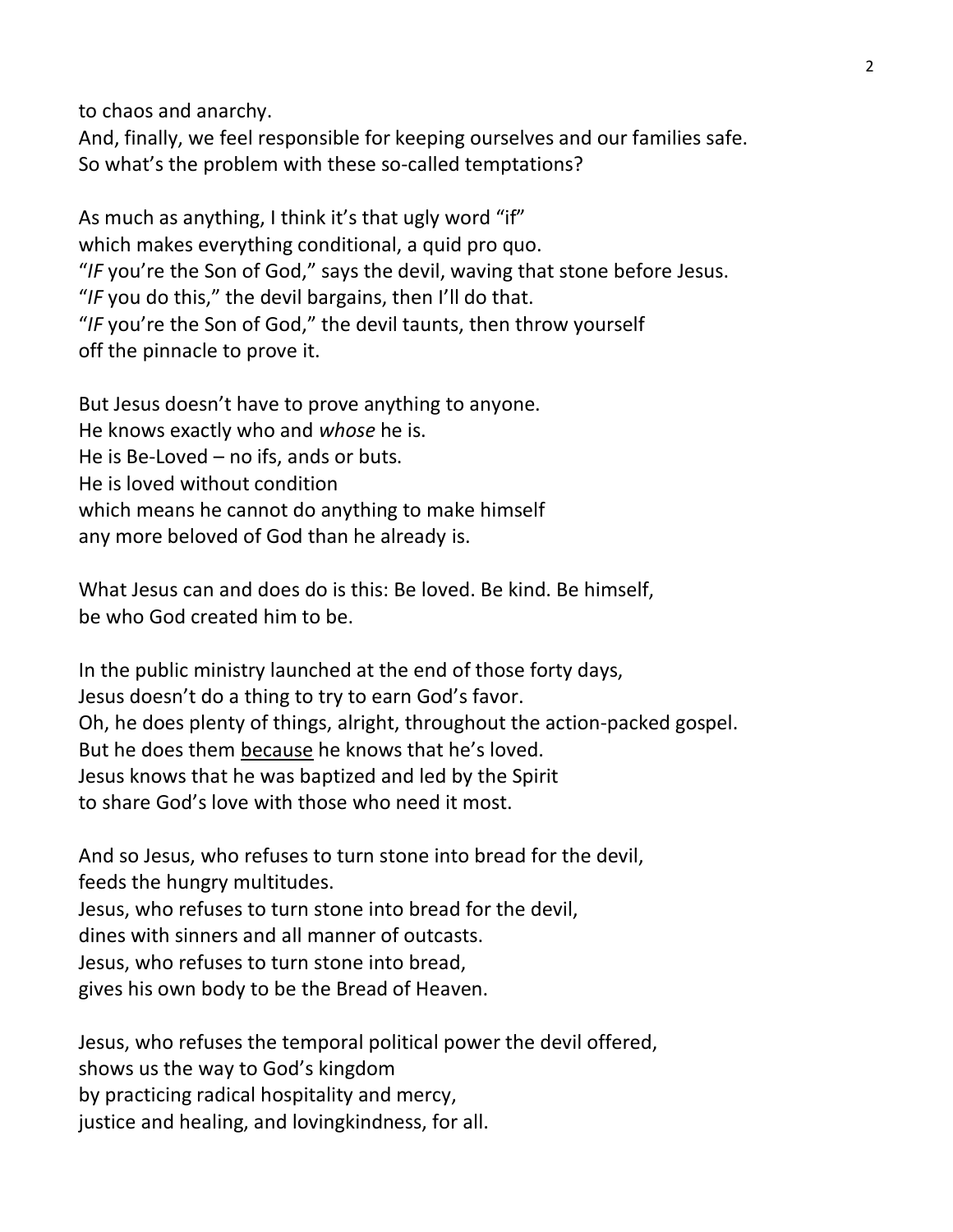to chaos and anarchy.

And, finally, we feel responsible for keeping ourselves and our families safe. So what's the problem with these so-called temptations?

As much as anything, I think it's that ugly word "if" which makes everything conditional, a quid pro quo. "*IF* you're the Son of God," says the devil, waving that stone before Jesus. "*IF* you do this," the devil bargains, then I'll do that. "*IF* you're the Son of God," the devil taunts, then throw yourself off the pinnacle to prove it.

But Jesus doesn't have to prove anything to anyone. He knows exactly who and *whose* he is. He is Be-Loved – no ifs, ands or buts. He is loved without condition which means he cannot do anything to make himself any more beloved of God than he already is.

What Jesus can and does do is this: Be loved. Be kind. Be himself, be who God created him to be.

In the public ministry launched at the end of those forty days, Jesus doesn't do a thing to try to earn God's favor. Oh, he does plenty of things, alright, throughout the action-packed gospel. But he does them because he knows that he's loved. Jesus knows that he was baptized and led by the Spirit to share God's love with those who need it most.

And so Jesus, who refuses to turn stone into bread for the devil, feeds the hungry multitudes. Jesus, who refuses to turn stone into bread for the devil, dines with sinners and all manner of outcasts.

Jesus, who refuses to turn stone into bread,

gives his own body to be the Bread of Heaven.

Jesus, who refuses the temporal political power the devil offered, shows us the way to God's kingdom by practicing radical hospitality and mercy, justice and healing, and lovingkindness, for all.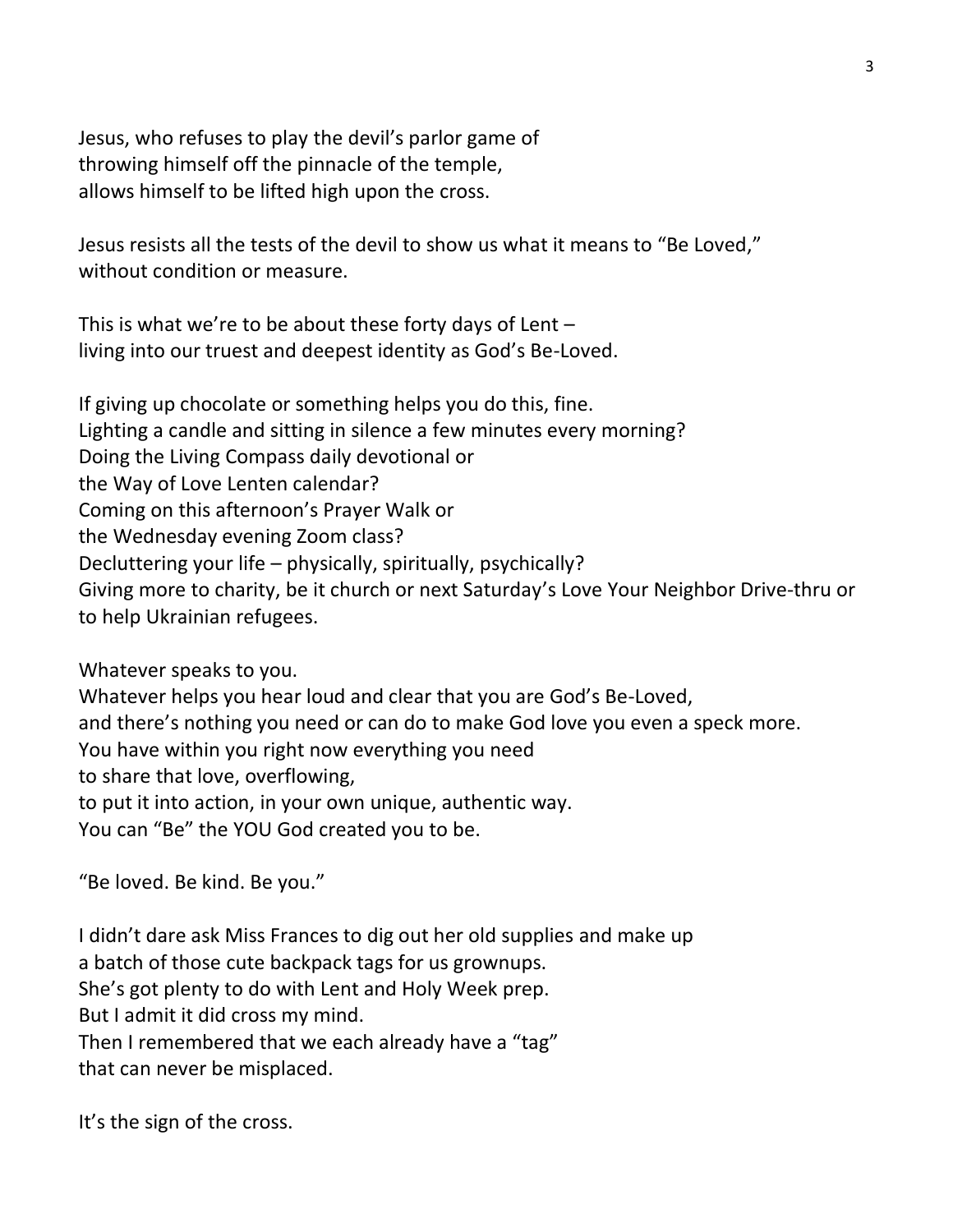Jesus, who refuses to play the devil's parlor game of throwing himself off the pinnacle of the temple, allows himself to be lifted high upon the cross.

Jesus resists all the tests of the devil to show us what it means to "Be Loved," without condition or measure.

This is what we're to be about these forty days of Lent  $$ living into our truest and deepest identity as God's Be-Loved.

If giving up chocolate or something helps you do this, fine. Lighting a candle and sitting in silence a few minutes every morning? Doing the Living Compass daily devotional or the Way of Love Lenten calendar? Coming on this afternoon's Prayer Walk or the Wednesday evening Zoom class? Decluttering your life – physically, spiritually, psychically? Giving more to charity, be it church or next Saturday's Love Your Neighbor Drive-thru or to help Ukrainian refugees.

Whatever speaks to you.

Whatever helps you hear loud and clear that you are God's Be-Loved, and there's nothing you need or can do to make God love you even a speck more. You have within you right now everything you need to share that love, overflowing, to put it into action, in your own unique, authentic way. You can "Be" the YOU God created you to be.

"Be loved. Be kind. Be you."

I didn't dare ask Miss Frances to dig out her old supplies and make up a batch of those cute backpack tags for us grownups. She's got plenty to do with Lent and Holy Week prep. But I admit it did cross my mind. Then I remembered that we each already have a "tag" that can never be misplaced.

It's the sign of the cross.